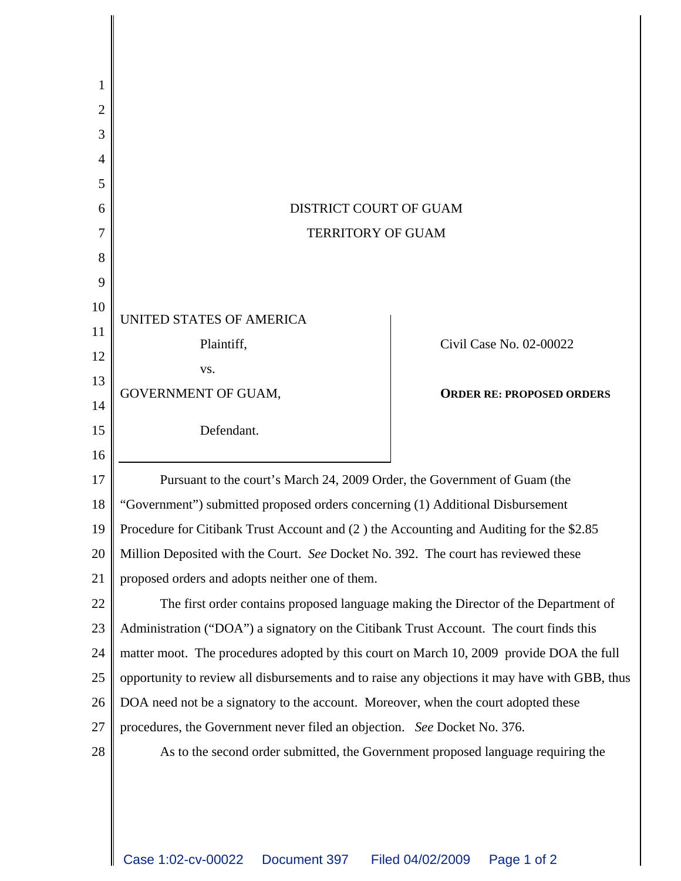| 2  |                                                                                                |                                  |
|----|------------------------------------------------------------------------------------------------|----------------------------------|
| 3  |                                                                                                |                                  |
| 4  |                                                                                                |                                  |
| 5  |                                                                                                |                                  |
| 6  | <b>DISTRICT COURT OF GUAM</b>                                                                  |                                  |
|    | <b>TERRITORY OF GUAM</b>                                                                       |                                  |
| 8  |                                                                                                |                                  |
| 9  |                                                                                                |                                  |
| 10 | UNITED STATES OF AMERICA                                                                       |                                  |
| 11 | Plaintiff,                                                                                     | Civil Case No. 02-00022          |
| 12 | VS.                                                                                            |                                  |
| 13 | <b>GOVERNMENT OF GUAM,</b>                                                                     | <b>ORDER RE: PROPOSED ORDERS</b> |
| 14 |                                                                                                |                                  |
| 15 | Defendant.                                                                                     |                                  |
| 16 |                                                                                                |                                  |
| 17 | Pursuant to the court's March 24, 2009 Order, the Government of Guam (the                      |                                  |
| 18 | "Government") submitted proposed orders concerning (1) Additional Disbursement                 |                                  |
| 19 | Procedure for Citibank Trust Account and (2 ) the Accounting and Auditing for the \$2.85       |                                  |
| 20 | Million Deposited with the Court. See Docket No. 392. The court has reviewed these             |                                  |
| 21 | proposed orders and adopts neither one of them.                                                |                                  |
| 22 | The first order contains proposed language making the Director of the Department of            |                                  |
| 23 | Administration ("DOA") a signatory on the Citibank Trust Account. The court finds this         |                                  |
| 24 | matter moot. The procedures adopted by this court on March 10, 2009 provide DOA the full       |                                  |
| 25 | opportunity to review all disbursements and to raise any objections it may have with GBB, thus |                                  |
| 26 | DOA need not be a signatory to the account. Moreover, when the court adopted these             |                                  |
| 27 | procedures, the Government never filed an objection. See Docket No. 376.                       |                                  |
| 28 | As to the second order submitted, the Government proposed language requiring the               |                                  |
|    |                                                                                                |                                  |
|    |                                                                                                |                                  |